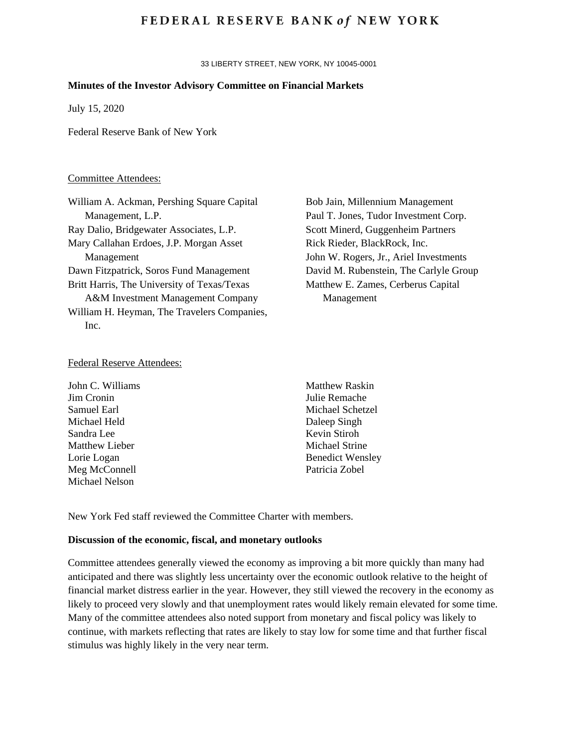## **FEDERAL RESERVE BANK of NEW YORK**

33 LIBERTY STREET, NEW YORK, NY 10045-0001

#### **Minutes of the Investor Advisory Committee on Financial Markets**

July 15, 2020

Federal Reserve Bank of New York

## Committee Attendees:

| William A. Ackman, Pershing Square Capital  | Bob Jain, Millennium Management        |
|---------------------------------------------|----------------------------------------|
| Management, L.P.                            | Paul T. Jones, Tudor Investment Corp.  |
| Ray Dalio, Bridgewater Associates, L.P.     | Scott Minerd, Guggenheim Partners      |
| Mary Callahan Erdoes, J.P. Morgan Asset     | Rick Rieder, BlackRock, Inc.           |
| Management                                  | John W. Rogers, Jr., Ariel Investments |
| Dawn Fitzpatrick, Soros Fund Management     | David M. Rubenstein, The Carlyle Group |
| Britt Harris, The University of Texas/Texas | Matthew E. Zames, Cerberus Capital     |
| A&M Investment Management Company           | Management                             |
| William H. Heyman, The Travelers Companies, |                                        |
| Inc.                                        |                                        |
|                                             |                                        |

#### Federal Reserve Attendees:

John C. Williams Jim Cronin Samuel Earl Michael Held Sandra Lee Matthew Lieber Lorie Logan Meg McConnell Michael Nelson

Matthew Raskin Julie Remache Michael Schetzel Daleep Singh Kevin Stiroh Michael Strine Benedict Wensley Patricia Zobel

New York Fed staff reviewed the Committee Charter with members.

#### **Discussion of the economic, fiscal, and monetary outlooks**

Committee attendees generally viewed the economy as improving a bit more quickly than many had anticipated and there was slightly less uncertainty over the economic outlook relative to the height of financial market distress earlier in the year. However, they still viewed the recovery in the economy as likely to proceed very slowly and that unemployment rates would likely remain elevated for some time. Many of the committee attendees also noted support from monetary and fiscal policy was likely to continue, with markets reflecting that rates are likely to stay low for some time and that further fiscal stimulus was highly likely in the very near term.